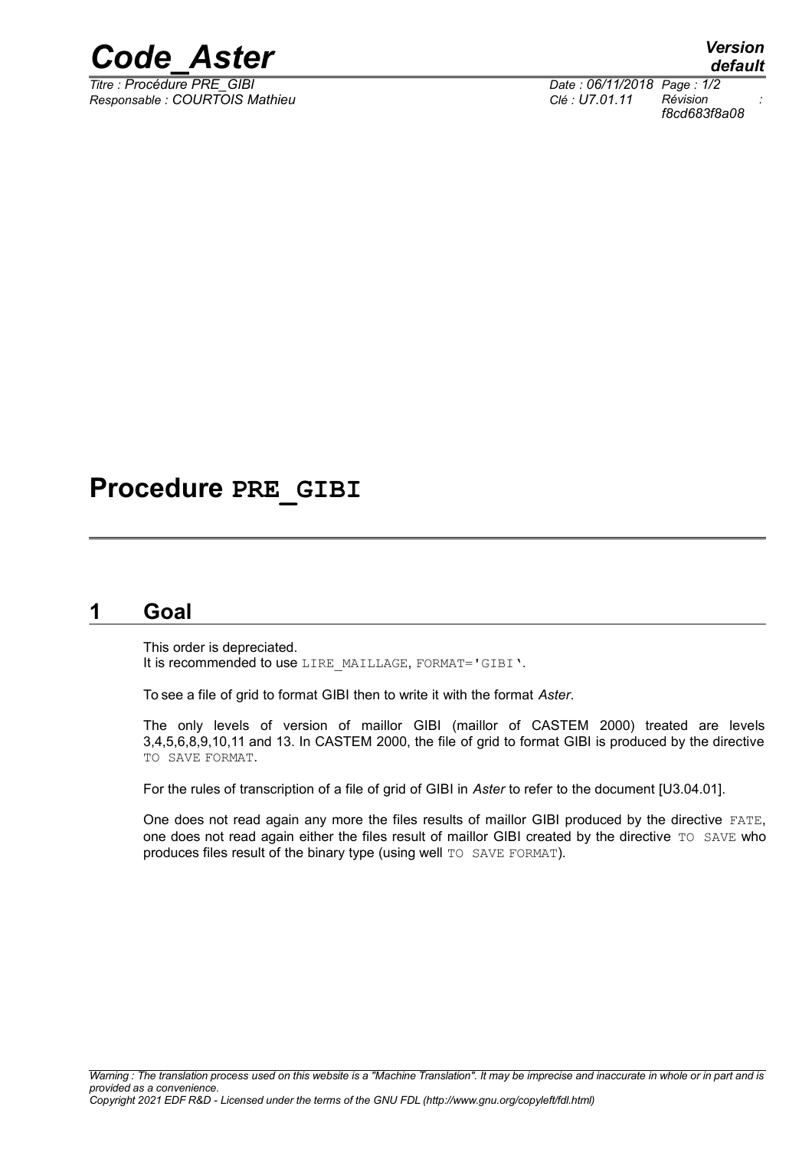

*Responsable : COURTOIS Mathieu Clé : U7.01.11 Révision :*

*default Titre : Procédure PRE\_GIBI Date : 06/11/2018 Page : 1/2 f8cd683f8a08*

## **Procedure PRE\_GIBI**

#### **1 Goal**

This order is depreciated. It is recommended to use LIRE\_MAILLAGE, FORMAT='GIBI'.

To see a file of grid to format GIBI then to write it with the format *Aster*.

The only levels of version of maillor GIBI (maillor of CASTEM 2000) treated are levels 3,4,5,6,8,9,10,11 and 13. In CASTEM 2000, the file of grid to format GIBI is produced by the directive TO SAVE FORMAT.

For the rules of transcription of a file of grid of GIBI in *Aster* to refer to the document [U3.04.01].

One does not read again any more the files results of maillor GIBI produced by the directive FATE, one does not read again either the files result of maillor GIBI created by the directive TO SAVE who produces files result of the binary type (using well TO SAVE FORMAT).